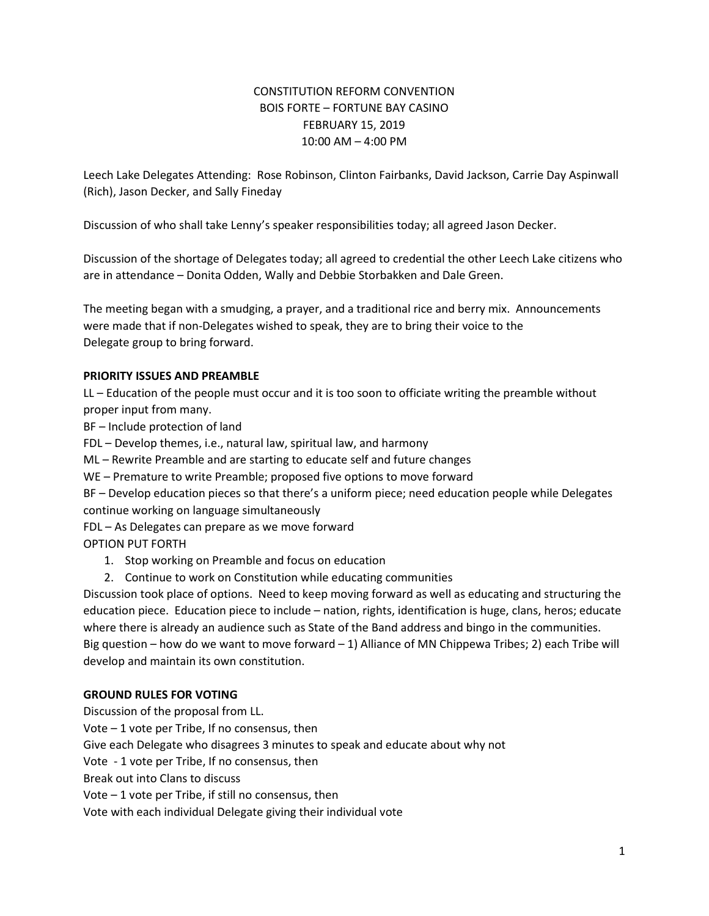# CONSTITUTION REFORM CONVENTION BOIS FORTE – FORTUNE BAY CASINO FEBRUARY 15, 2019 10:00 AM – 4:00 PM

Leech Lake Delegates Attending: Rose Robinson, Clinton Fairbanks, David Jackson, Carrie Day Aspinwall (Rich), Jason Decker, and Sally Fineday

Discussion of who shall take Lenny's speaker responsibilities today; all agreed Jason Decker.

Discussion of the shortage of Delegates today; all agreed to credential the other Leech Lake citizens who are in attendance – Donita Odden, Wally and Debbie Storbakken and Dale Green.

The meeting began with a smudging, a prayer, and a traditional rice and berry mix. Announcements were made that if non-Delegates wished to speak, they are to bring their voice to the Delegate group to bring forward.

### PRIORITY ISSUES AND PREAMBLE

LL – Education of the people must occur and it is too soon to officiate writing the preamble without proper input from many.

BF – Include protection of land

FDL – Develop themes, i.e., natural law, spiritual law, and harmony

ML – Rewrite Preamble and are starting to educate self and future changes

WE – Premature to write Preamble; proposed five options to move forward

BF – Develop education pieces so that there's a uniform piece; need education people while Delegates continue working on language simultaneously

FDL – As Delegates can prepare as we move forward

OPTION PUT FORTH

1. Stop working on Preamble and focus on education

2. Continue to work on Constitution while educating communities

Discussion took place of options. Need to keep moving forward as well as educating and structuring the education piece. Education piece to include – nation, rights, identification is huge, clans, heros; educate where there is already an audience such as State of the Band address and bingo in the communities. Big question – how do we want to move forward – 1) Alliance of MN Chippewa Tribes; 2) each Tribe will develop and maintain its own constitution.

## GROUND RULES FOR VOTING

Discussion of the proposal from LL. Vote – 1 vote per Tribe, If no consensus, then Give each Delegate who disagrees 3 minutes to speak and educate about why not Vote - 1 vote per Tribe, If no consensus, then Break out into Clans to discuss Vote – 1 vote per Tribe, if still no consensus, then Vote with each individual Delegate giving their individual vote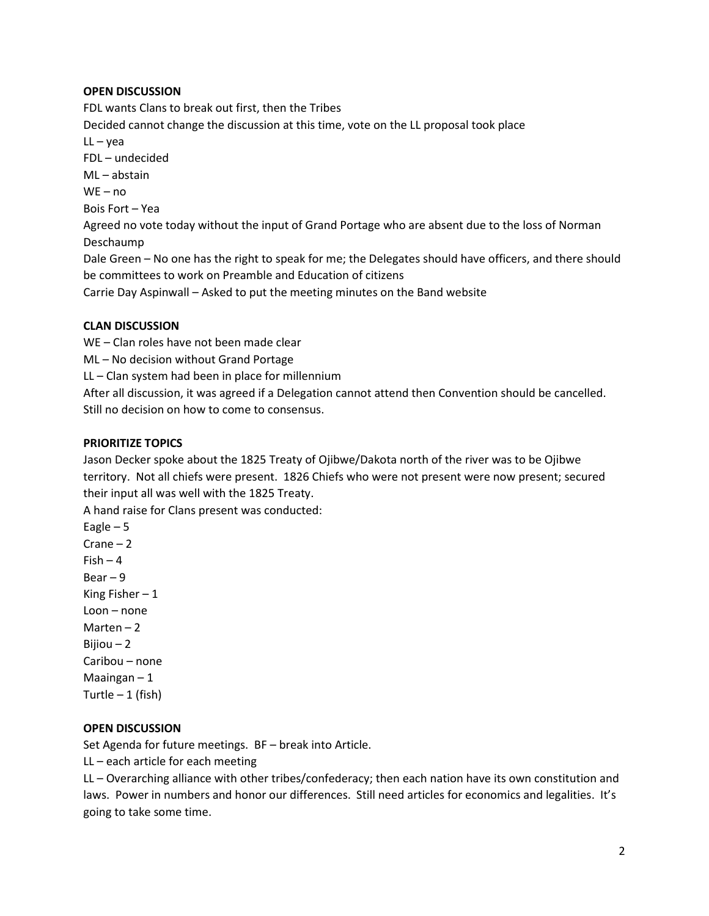#### OPEN DISCUSSION

FDL wants Clans to break out first, then the Tribes Decided cannot change the discussion at this time, vote on the LL proposal took place  $LL - \gamma$ ea FDL – undecided ML – abstain  $WE - no$ Bois Fort – Yea Agreed no vote today without the input of Grand Portage who are absent due to the loss of Norman Deschaump Dale Green – No one has the right to speak for me; the Delegates should have officers, and there should be committees to work on Preamble and Education of citizens Carrie Day Aspinwall – Asked to put the meeting minutes on the Band website

### CLAN DISCUSSION

WE – Clan roles have not been made clear

ML – No decision without Grand Portage

LL – Clan system had been in place for millennium

After all discussion, it was agreed if a Delegation cannot attend then Convention should be cancelled. Still no decision on how to come to consensus.

#### PRIORITIZE TOPICS

Jason Decker spoke about the 1825 Treaty of Ojibwe/Dakota north of the river was to be Ojibwe territory. Not all chiefs were present. 1826 Chiefs who were not present were now present; secured their input all was well with the 1825 Treaty.

A hand raise for Clans present was conducted:

Eagle  $-5$ Crane – 2  $Fish - 4$  $Bean - 9$ King Fisher  $-1$ Loon – none Marten – 2 Bijiou  $-2$ Caribou – none Maaingan – 1 Turtle  $-1$  (fish)

## OPEN DISCUSSION

Set Agenda for future meetings. BF – break into Article.

LL – each article for each meeting

LL – Overarching alliance with other tribes/confederacy; then each nation have its own constitution and laws. Power in numbers and honor our differences. Still need articles for economics and legalities. It's going to take some time.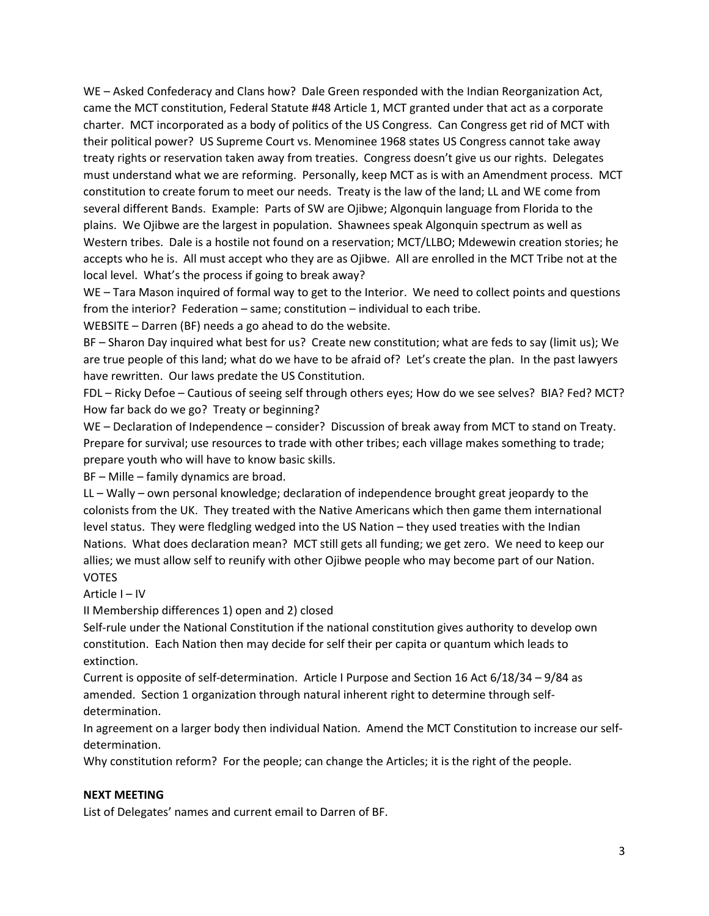WE – Asked Confederacy and Clans how? Dale Green responded with the Indian Reorganization Act, came the MCT constitution, Federal Statute #48 Article 1, MCT granted under that act as a corporate charter. MCT incorporated as a body of politics of the US Congress. Can Congress get rid of MCT with their political power? US Supreme Court vs. Menominee 1968 states US Congress cannot take away treaty rights or reservation taken away from treaties. Congress doesn't give us our rights. Delegates must understand what we are reforming. Personally, keep MCT as is with an Amendment process. MCT constitution to create forum to meet our needs. Treaty is the law of the land; LL and WE come from several different Bands. Example: Parts of SW are Ojibwe; Algonquin language from Florida to the plains. We Ojibwe are the largest in population. Shawnees speak Algonquin spectrum as well as Western tribes. Dale is a hostile not found on a reservation; MCT/LLBO; Mdewewin creation stories; he accepts who he is. All must accept who they are as Ojibwe. All are enrolled in the MCT Tribe not at the local level. What's the process if going to break away?

WE – Tara Mason inquired of formal way to get to the Interior. We need to collect points and questions from the interior? Federation – same; constitution – individual to each tribe.

WEBSITE – Darren (BF) needs a go ahead to do the website.

BF – Sharon Day inquired what best for us? Create new constitution; what are feds to say (limit us); We are true people of this land; what do we have to be afraid of? Let's create the plan. In the past lawyers have rewritten. Our laws predate the US Constitution.

FDL – Ricky Defoe – Cautious of seeing self through others eyes; How do we see selves? BIA? Fed? MCT? How far back do we go? Treaty or beginning?

WE – Declaration of Independence – consider? Discussion of break away from MCT to stand on Treaty. Prepare for survival; use resources to trade with other tribes; each village makes something to trade; prepare youth who will have to know basic skills.

BF – Mille – family dynamics are broad.

LL – Wally – own personal knowledge; declaration of independence brought great jeopardy to the colonists from the UK. They treated with the Native Americans which then game them international level status. They were fledgling wedged into the US Nation – they used treaties with the Indian Nations. What does declaration mean? MCT still gets all funding; we get zero. We need to keep our allies; we must allow self to reunify with other Ojibwe people who may become part of our Nation. VOTES

#### Article I – IV

II Membership differences 1) open and 2) closed

Self-rule under the National Constitution if the national constitution gives authority to develop own constitution. Each Nation then may decide for self their per capita or quantum which leads to extinction.

Current is opposite of self-determination. Article I Purpose and Section 16 Act 6/18/34 – 9/84 as amended. Section 1 organization through natural inherent right to determine through selfdetermination.

In agreement on a larger body then individual Nation. Amend the MCT Constitution to increase our selfdetermination.

Why constitution reform? For the people; can change the Articles; it is the right of the people.

### NEXT MEETING

List of Delegates' names and current email to Darren of BF.